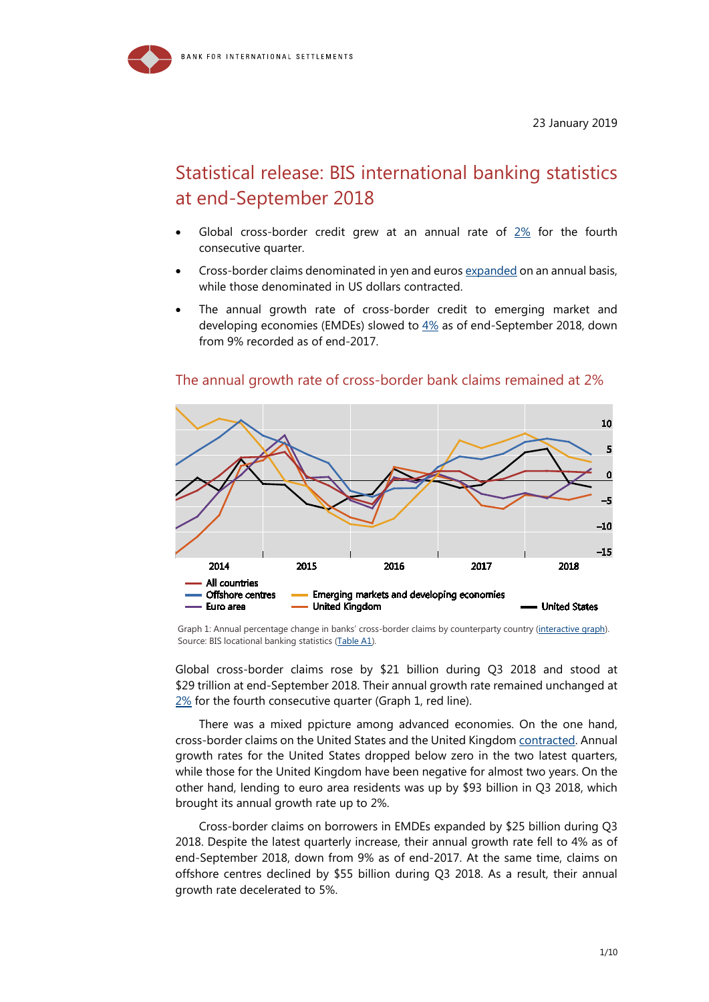

# Statistical release: BIS international banking statistics at end-September 2018

- Global cross-border credit grew at an annual rate of  $2\%$  for the fourth consecutive quarter.
- Cross-border claims denominated in yen and euros [expanded](https://stats.bis.org/statx/srs/tseries/LBS_D_PUB/Q:G:C:A:USD:A:5J:A:5A:A:5J:N?t=A1&p=20183&m=G&x=L_DENOM.4.CL_CURRENCY_3POS.USD:EUR:JPY&o=w:20133.20183,s:line,t:Currency%20denomination) on an annual basis, while those denominated in US dollars contracted.
- The annual growth rate of cross-border credit to emerging market and developing economies (EMDEs) slowed to  $4\%$  as of end-September 2018, down from 9% recorded as of end-2017.



## The annual growth rate of cross-border bank claims remained at 2%

Graph 1: Annual percentage change in banks' cross-border claims by counterparty country [\(interactive graph\)](https://stats.bis.org/statx/srs/tseries/LBS_D_PUB/Q:G:C:A:TO1:A:5J:A:5A:A:5J:N?t=A1&p=20183&m=G&x=L_CP_COUNTRY.10.CL_BIS_IF_REF_AREA.5J:4T:5C:1N:GB:US&o=w:20133.20183,s:line,t:Counterparty%20country). Source: BIS locational banking statistics [\(Table A1\)](https://stats.bis.org/statx/srs/table/A1?c=&p=20183&m=G).

Global cross-border claims rose by \$21 billion during Q3 2018 and stood at \$29 trillion at end-September 2018. Their annual growth rate remained unchanged at [2%](https://stats.bis.org/statx/srs/tseries/LBS_D_PUB/Q:F:C:A:TO1:A:5J:A:5A:A:5J:N?t=A1&p=20183&m=F&x=L_MEASURE.1.CL_STOCK_FLOW.F:G&o=w:20173.20183,s:col,y:line,t:Measure) for the fourth consecutive quarter (Graph 1, red line).

There was a mixed ppicture among advanced economies. On the one hand, cross-border claims on the United States and the United Kingdom [contracted.](https://stats.bis.org/statx/srs/tseries/LBS_D_PUB/Q:G:C:A:TO1:A:5J:A:5A:A:5J:N?t=A1&p=20183&m=G&x=L_CP_COUNTRY.10.CL_BIS_IF_REF_AREA.5J:4T:5C:1N:GB:US&o=w:20133.20183,s:line,t:Counterparty%20country) Annual growth rates for the United States dropped below zero in the two latest quarters, while those for the United Kingdom have been negative for almost two years. On the other hand, lending to euro area residents was up by \$93 billion in Q3 2018, which brought its annual growth rate up to 2%.

Cross-border claims on borrowers in EMDEs expanded by \$25 billion during Q3 2018. Despite the latest quarterly increase, their annual growth rate fell to 4% as of end-September 2018, down from 9% as of end-2017. At the same time, claims on offshore centres declined by \$55 billion during Q3 2018. As a result, their annual growth rate decelerated to 5%.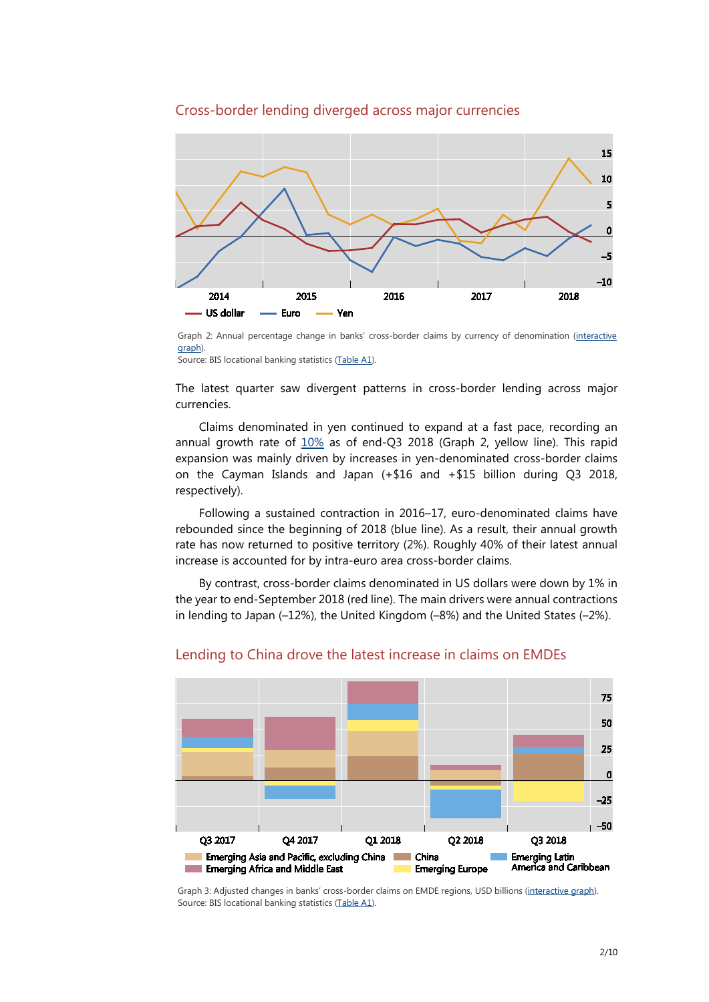### Cross-border lending diverged across major currencies



Graph 2: Annual percentage change in banks' cross-border claims by currency of denomination (interactive [graph\)](https://stats.bis.org/statx/srs/tseries/LBS_D_PUB/Q:G:C:A:USD:A:5J:A:5A:A:5J:N?t=A1&p=20183&m=G&x=L_DENOM.4.CL_CURRENCY_3POS.USD:EUR:JPY&o=w:20133.20183,s:line,t:Currency%20denomination).

Source: BIS locational banking statistics [\(Table A1\)](https://stats.bis.org/statx/srs/table/A1?c=&p=20183&m=G).

The latest quarter saw divergent patterns in cross-border lending across major currencies.

Claims denominated in yen continued to expand at a fast pace, recording an annual growth rate of  $10\%$  as of end-Q3 2018 (Graph 2, yellow line). This rapid expansion was mainly driven by increases in yen-denominated cross-border claims on the Cayman Islands and Japan (+\$16 and +\$15 billion during Q3 2018, respectively).

Following a sustained contraction in 2016–17, euro-denominated claims have rebounded since the beginning of 2018 (blue line). As a result, their annual growth rate has now returned to positive territory (2%). Roughly 40% of their latest annual increase is accounted for by intra-euro area cross-border claims.

By contrast, cross-border claims denominated in US dollars were down by 1% in the year to end-September 2018 (red line). The main drivers were annual contractions in lending to Japan (–12%), the United Kingdom (–8%) and the United States (–2%).



#### Lending to China drove the latest increase in claims on EMDEs

Graph 3: Adjusted changes in banks' cross-border claims on EMDE regions, USD billions [\(interactive graph\)](https://stats.bis.org/statx/srs/tseries/LBS_D_PUB/Q:F:C:A:TO1:A:5J:A:5A:A:4W:N?t=A1&p=20183&m=F&x=L_CP_COUNTRY.10.CL_BIS_IF_REF_AREA.CN:4W:4Y:3C:4U&o=w:20173.20183,s:stc,t:Counterparty%20country). Source: BIS locational banking statistics [\(Table A1\)](https://stats.bis.org/statx/srs/table/A1?c=&p=20183&m=F).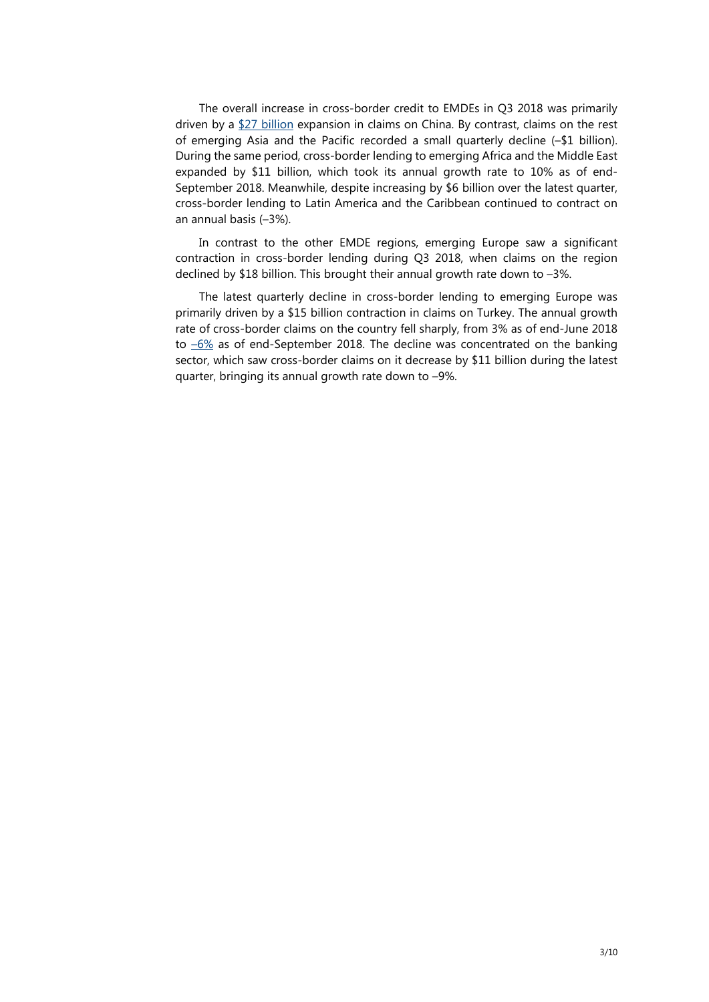The overall increase in cross-border credit to EMDEs in Q3 2018 was primarily driven by a [\\$27 billion](https://stats.bis.org/statx/srs/tseries/LBS_D_PUB/Q:F:C:A:TO1:A:5J:A:5A:A:4W:N?t=A1&p=20183&m=F&x=L_CP_COUNTRY.10.CL_BIS_IF_REF_AREA.CN:4W:4Y:3C:4U&o=w:20173.20183,s:stc,t:Counterparty%20country) expansion in claims on China. By contrast, claims on the rest of emerging Asia and the Pacific recorded a small quarterly decline (–\$1 billion). During the same period, cross-border lending to emerging Africa and the Middle East expanded by \$11 billion, which took its annual growth rate to 10% as of end-September 2018. Meanwhile, despite increasing by \$6 billion over the latest quarter, cross-border lending to Latin America and the Caribbean continued to contract on an annual basis (–3%).

In contrast to the other EMDE regions, emerging Europe saw a significant contraction in cross-border lending during Q3 2018, when claims on the region declined by \$18 billion. This brought their annual growth rate down to –3%.

The latest quarterly decline in cross-border lending to emerging Europe was primarily driven by a \$15 billion contraction in claims on Turkey. The annual growth rate of cross-border claims on the country fell sharply, from 3% as of end-June 2018 to  $-6\%$  as of end-September 2018. The decline was concentrated on the banking sector, which saw cross-border claims on it decrease by \$11 billion during the latest quarter, bringing its annual growth rate down to –9%.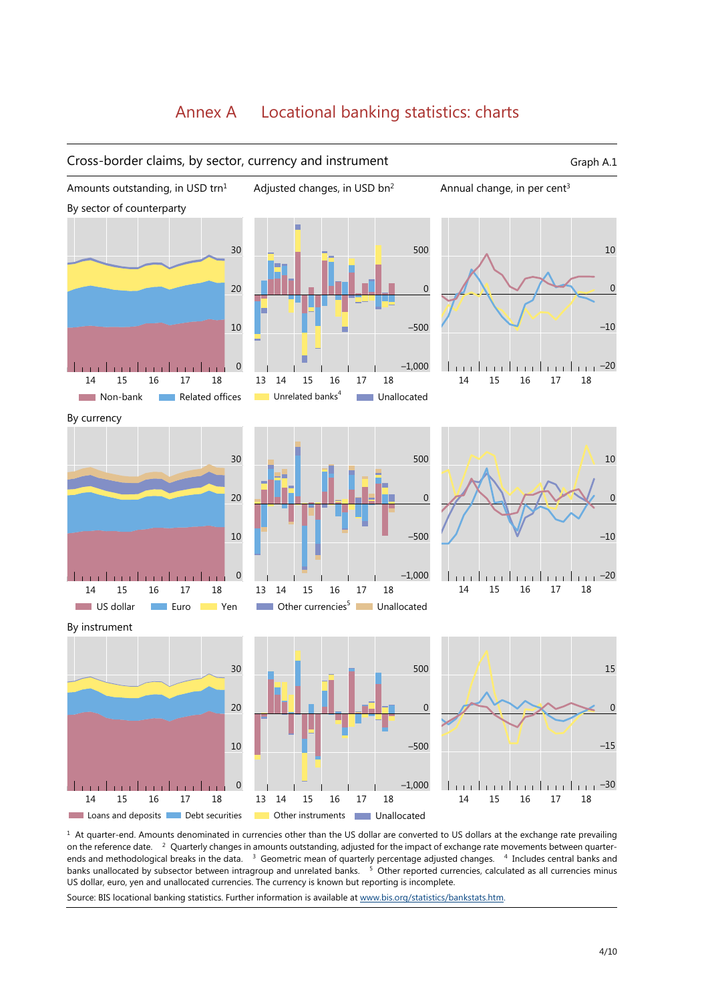## Annex A Locational banking statistics: charts



 $<sup>1</sup>$  At quarter-end. Amounts denominated in currencies other than the US dollar are converted to US dollars at the exchange rate prevailing</sup> on the reference date. 2 Quarterly changes in amounts outstanding, adjusted for the impact of exchange rate movements between quarterends and methodological breaks in the data. <sup>3</sup> Geometric mean of quarterly percentage adjusted changes. <sup>4</sup> Includes central banks and banks unallocated by subsector between intragroup and unrelated banks. <sup>5</sup> Other reported currencies, calculated as all currencies minus US dollar, euro, yen and unallocated currencies. The currency is known but reporting is incomplete.

Source: BIS locational banking statistics. Further information is available a[t www.bis.org/statistics/bankstats.htm.](https://www.bis.org/statistics/bankstats.htm)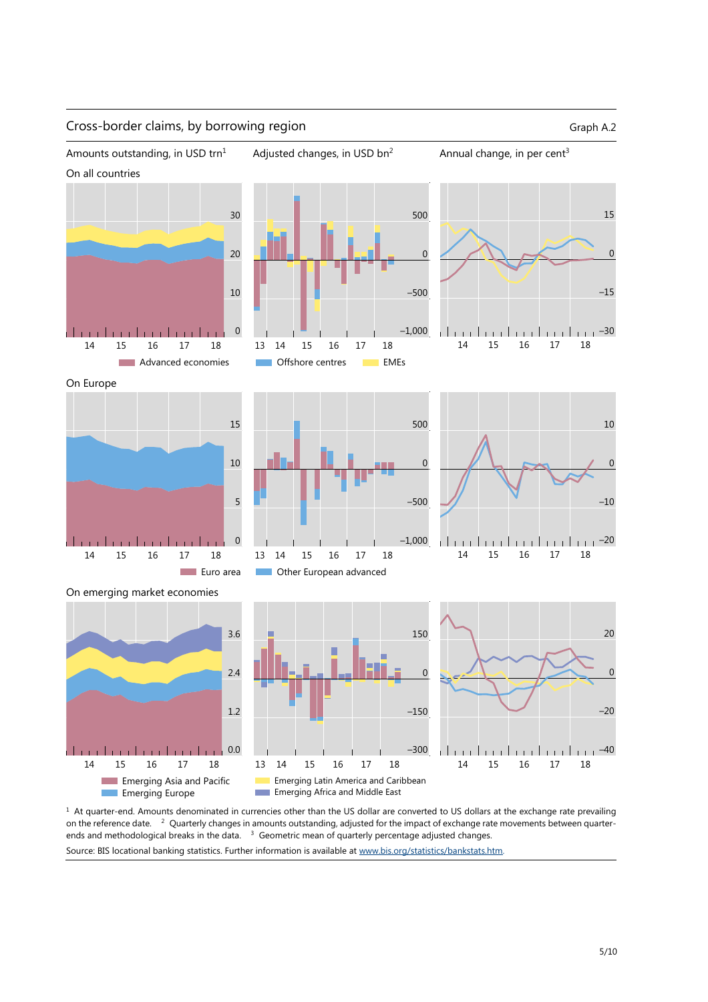

 $1$  At quarter-end. Amounts denominated in currencies other than the US dollar are converted to US dollars at the exchange rate prevailing on the reference date. <sup>2</sup> Quarterly changes in amounts outstanding, adjusted for the impact of exchange rate movements between quarterends and methodological breaks in the data. <sup>3</sup> Geometric mean of quarterly percentage adjusted changes.

Source: BIS locational banking statistics. Further information is available at [www.bis.org/statistics/bankstats.htm.](https://www.bis.org/statistics/bankstats.htm)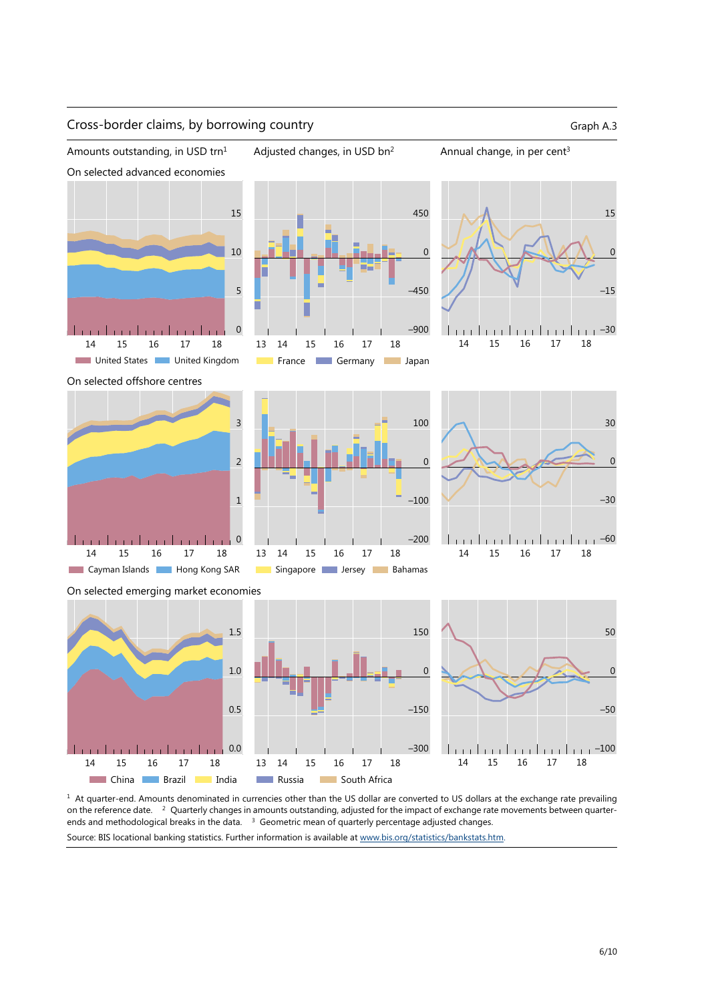

<sup>1</sup> At quarter-end. Amounts denominated in currencies other than the US dollar are converted to US dollars at the exchange rate prevailing on the reference date. <sup>2</sup> Quarterly changes in amounts outstanding, adjusted for the impact of exchange rate movements between quarterends and methodological breaks in the data. <sup>3</sup> Geometric mean of quarterly percentage adjusted changes. Source: BIS locational banking statistics. Further information is available a[t www.bis.org/statistics/bankstats.htm.](https://www.bis.org/statistics/bankstats.htm)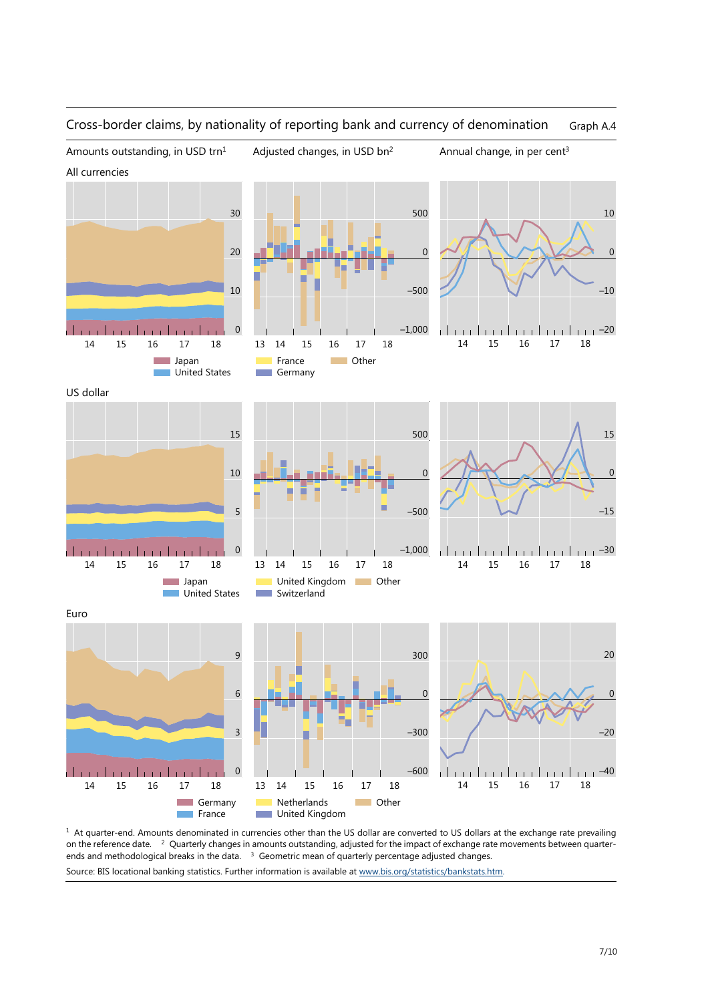

#### Cross-border claims, by nationality of reporting bank and currency of denomination Graph A.4

<sup>1</sup> At quarter-end. Amounts denominated in currencies other than the US dollar are converted to US dollars at the exchange rate prevailing on the reference date. <sup>2</sup> Quarterly changes in amounts outstanding, adjusted for the impact of exchange rate movements between quarterends and methodological breaks in the data. <sup>3</sup> Geometric mean of quarterly percentage adjusted changes.

Source: BIS locational banking statistics. Further information is available at [www.bis.org/statistics/bankstats.htm.](https://www.bis.org/statistics/bankstats.htm)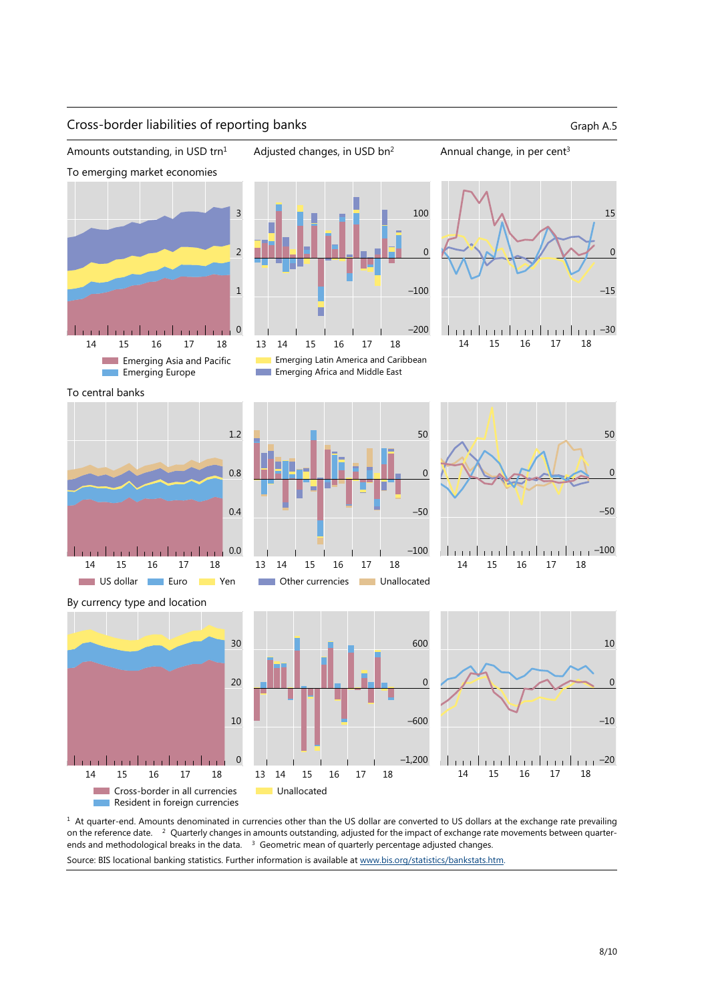

<sup>1</sup> At quarter-end. Amounts denominated in currencies other than the US dollar are converted to US dollars at the exchange rate prevailing on the reference date. <sup>2</sup> Quarterly changes in amounts outstanding, adjusted for the impact of exchange rate movements between quarterends and methodological breaks in the data. <sup>3</sup> Geometric mean of quarterly percentage adjusted changes. Source: BIS locational banking statistics. Further information is available a[t www.bis.org/statistics/bankstats.htm.](https://www.bis.org/statistics/bankstats.htm)

## Cross-border liabilities of reporting banks Graph A.5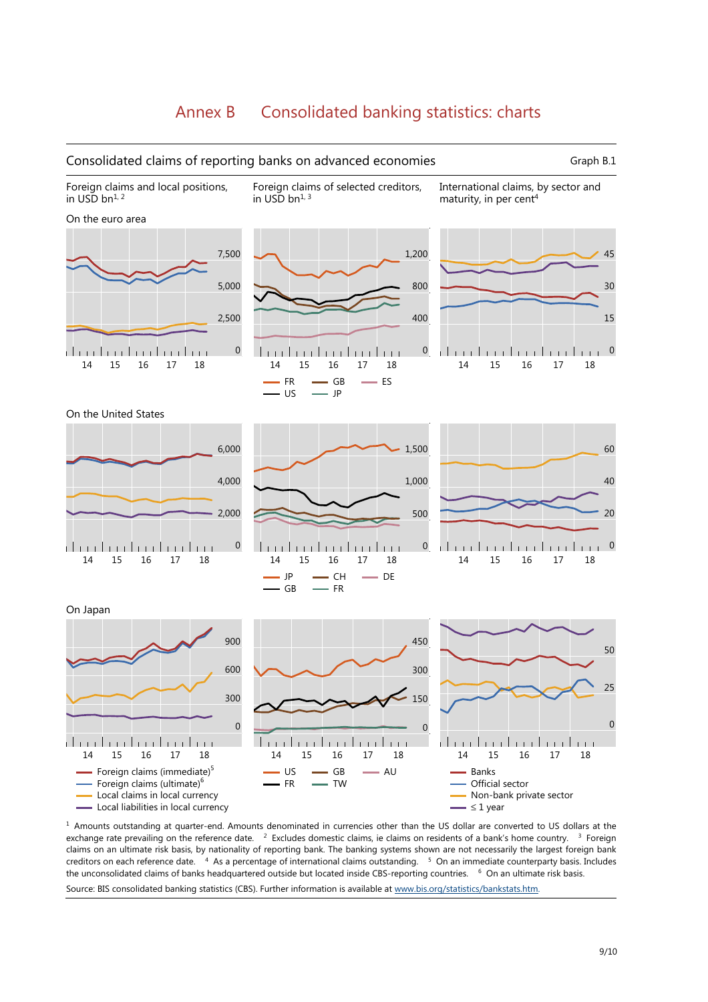## Annex B Consolidated banking statistics: charts



 $<sup>1</sup>$  Amounts outstanding at quarter-end. Amounts denominated in currencies other than the US dollar are converted to US dollars at the</sup> exchange rate prevailing on the reference date. <sup>2</sup> Excludes domestic claims, ie claims on residents of a bank's home country. <sup>3</sup> Foreign claims on an ultimate risk basis, by nationality of reporting bank. The banking systems shown are not necessarily the largest foreign bank creditors on each reference date. 4 As a percentage of international claims outstanding. 5 On an immediate counterparty basis. Includes the unconsolidated claims of banks headquartered outside but located inside CBS-reporting countries. <sup>6</sup> On an ultimate risk basis. Source: BIS consolidated banking statistics (CBS). Further information is available a[t www.bis.org/statistics/bankstats.htm.](https://www.bis.org/statistics/bankstats.htm)